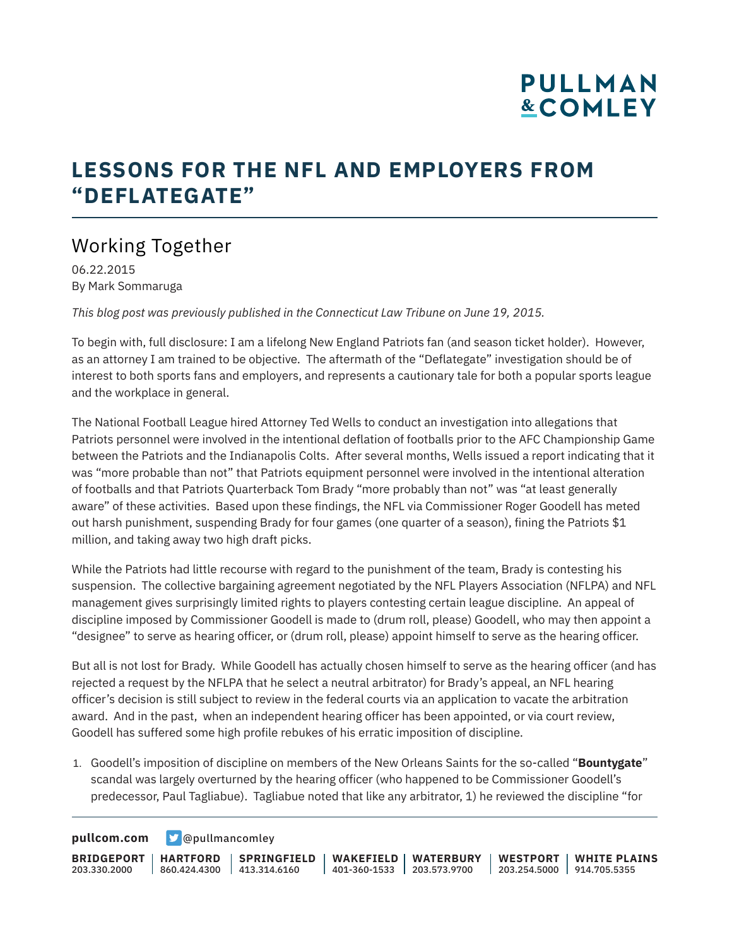### **LESSONS FOR THE NFL AND EMPLOYERS FROM "DEFLATEGATE"**

### Working Together

06.22.2015 By Mark Sommaruga

*This blog post was previously published in the Connecticut Law Tribune on June 19, 2015.*

To begin with, full disclosure: I am a lifelong New England Patriots fan (and season ticket holder). However, as an attorney I am trained to be objective. The aftermath of the "Deflategate" investigation should be of interest to both sports fans and employers, and represents a cautionary tale for both a popular sports league and the workplace in general.

The National Football League hired Attorney Ted Wells to conduct an investigation into allegations that Patriots personnel were involved in the intentional deflation of footballs prior to the AFC Championship Game between the Patriots and the Indianapolis Colts. After several months, Wells issued a report indicating that it was "more probable than not" that Patriots equipment personnel were involved in the intentional alteration of footballs and that Patriots Quarterback Tom Brady "more probably than not" was "at least generally aware" of these activities. Based upon these findings, the NFL via Commissioner Roger Goodell has meted out harsh punishment, suspending Brady for four games (one quarter of a season), fining the Patriots \$1 million, and taking away two high draft picks.

While the Patriots had little recourse with regard to the punishment of the team, Brady is contesting his suspension. The collective bargaining agreement negotiated by the NFL Players Association (NFLPA) and NFL management gives surprisingly limited rights to players contesting certain league discipline. An appeal of discipline imposed by Commissioner Goodell is made to (drum roll, please) Goodell, who may then appoint a "designee" to serve as hearing officer, or (drum roll, please) appoint himself to serve as the hearing officer.

But all is not lost for Brady. While Goodell has actually chosen himself to serve as the hearing officer (and has rejected a request by the NFLPA that he select a neutral arbitrator) for Brady's appeal, an NFL hearing officer's decision is still subject to review in the federal courts via an application to vacate the arbitration award. And in the past, when an independent hearing officer has been appointed, or via court review, Goodell has suffered some high profile rebukes of his erratic imposition of discipline.

1. Goodell's imposition of discipline on members of the New Orleans Saints for the so-called "**Bountygate**" scandal was largely overturned by the hearing officer (who happened to be Commissioner Goodell's predecessor, Paul Tagliabue). Tagliabue noted that like any arbitrator, 1) he reviewed the discipline "for

**[pullcom.com](https://www.pullcom.com) g** [@pullmancomley](https://twitter.com/PullmanComley)

**BRIDGEPORT HARTFORD** 203.330.2000 860.424.4300 413.314.6160 **SPRINGFIELD WAKEFIELD WATERBURY** 401-360-1533 203.573.9700 **WESTPORT WHITE PLAINS** 203.254.5000 914.705.5355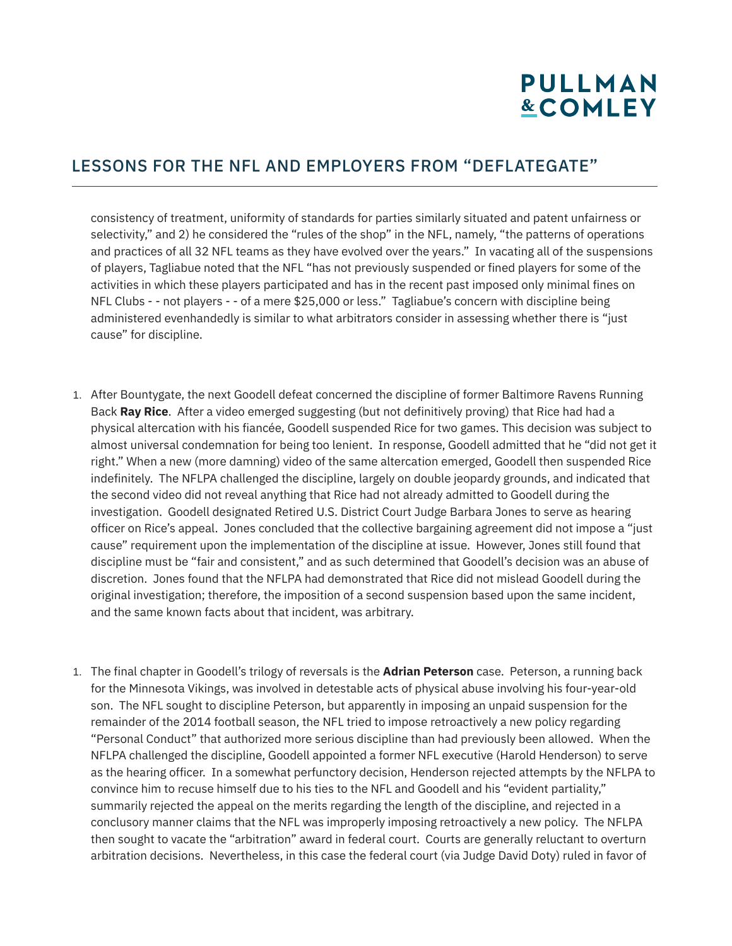#### LESSONS FOR THE NFL AND EMPLOYERS FROM "DEFLATEGATE"

consistency of treatment, uniformity of standards for parties similarly situated and patent unfairness or selectivity," and 2) he considered the "rules of the shop" in the NFL, namely, "the patterns of operations and practices of all 32 NFL teams as they have evolved over the years." In vacating all of the suspensions of players, Tagliabue noted that the NFL "has not previously suspended or fined players for some of the activities in which these players participated and has in the recent past imposed only minimal fines on NFL Clubs - - not players - - of a mere \$25,000 or less." Tagliabue's concern with discipline being administered evenhandedly is similar to what arbitrators consider in assessing whether there is "just cause" for discipline.

- 1. After Bountygate, the next Goodell defeat concerned the discipline of former Baltimore Ravens Running Back **Ray Rice**. After a video emerged suggesting (but not definitively proving) that Rice had had a physical altercation with his fiancée, Goodell suspended Rice for two games. This decision was subject to almost universal condemnation for being too lenient. In response, Goodell admitted that he "did not get it right." When a new (more damning) video of the same altercation emerged, Goodell then suspended Rice indefinitely. The NFLPA challenged the discipline, largely on double jeopardy grounds, and indicated that the second video did not reveal anything that Rice had not already admitted to Goodell during the investigation. Goodell designated Retired U.S. District Court Judge Barbara Jones to serve as hearing officer on Rice's appeal. Jones concluded that the collective bargaining agreement did not impose a "just cause" requirement upon the implementation of the discipline at issue. However, Jones still found that discipline must be "fair and consistent," and as such determined that Goodell's decision was an abuse of discretion. Jones found that the NFLPA had demonstrated that Rice did not mislead Goodell during the original investigation; therefore, the imposition of a second suspension based upon the same incident, and the same known facts about that incident, was arbitrary.
- 1. The final chapter in Goodell's trilogy of reversals is the **Adrian Peterson** case. Peterson, a running back for the Minnesota Vikings, was involved in detestable acts of physical abuse involving his four-year-old son. The NFL sought to discipline Peterson, but apparently in imposing an unpaid suspension for the remainder of the 2014 football season, the NFL tried to impose retroactively a new policy regarding "Personal Conduct" that authorized more serious discipline than had previously been allowed. When the NFLPA challenged the discipline, Goodell appointed a former NFL executive (Harold Henderson) to serve as the hearing officer. In a somewhat perfunctory decision, Henderson rejected attempts by the NFLPA to convince him to recuse himself due to his ties to the NFL and Goodell and his "evident partiality," summarily rejected the appeal on the merits regarding the length of the discipline, and rejected in a conclusory manner claims that the NFL was improperly imposing retroactively a new policy. The NFLPA then sought to vacate the "arbitration" award in federal court. Courts are generally reluctant to overturn arbitration decisions. Nevertheless, in this case the federal court (via Judge David Doty) ruled in favor of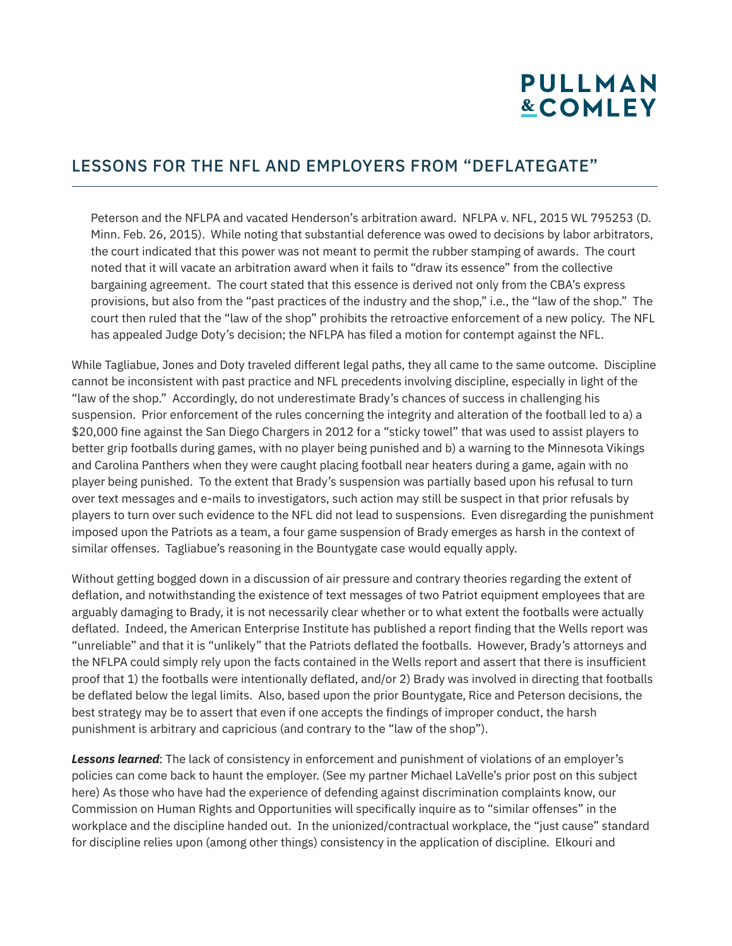#### LESSONS FOR THE NFL AND EMPLOYERS FROM "DEFLATEGATE"

Peterson and the NFLPA and vacated Henderson's arbitration award. NFLPA v. NFL, 2015 WL 795253 (D. Minn. Feb. 26, 2015). While noting that substantial deference was owed to decisions by labor arbitrators, the court indicated that this power was not meant to permit the rubber stamping of awards. The court noted that it will vacate an arbitration award when it fails to "draw its essence" from the collective bargaining agreement. The court stated that this essence is derived not only from the CBA's express provisions, but also from the "past practices of the industry and the shop," i.e., the "law of the shop." The court then ruled that the "law of the shop" prohibits the retroactive enforcement of a new policy. The NFL has appealed Judge Doty's decision; the NFLPA has filed a motion for contempt against the NFL.

While Tagliabue, Jones and Doty traveled different legal paths, they all came to the same outcome. Discipline cannot be inconsistent with past practice and NFL precedents involving discipline, especially in light of the "law of the shop." Accordingly, do not underestimate Brady's chances of success in challenging his suspension. Prior enforcement of the rules concerning the integrity and alteration of the football led to a) a \$20,000 fine against the San Diego Chargers in 2012 for a "sticky towel" that was used to assist players to better grip footballs during games, with no player being punished and b) a warning to the Minnesota Vikings and Carolina Panthers when they were caught placing football near heaters during a game, again with no player being punished. To the extent that Brady's suspension was partially based upon his refusal to turn over text messages and e-mails to investigators, such action may still be suspect in that prior refusals by players to turn over such evidence to the NFL did not lead to suspensions. Even disregarding the punishment imposed upon the Patriots as a team, a four game suspension of Brady emerges as harsh in the context of similar offenses. Tagliabue's reasoning in the Bountygate case would equally apply.

Without getting bogged down in a discussion of air pressure and contrary theories regarding the extent of deflation, and notwithstanding the existence of text messages of two Patriot equipment employees that are arguably damaging to Brady, it is not necessarily clear whether or to what extent the footballs were actually deflated. Indeed, the American Enterprise Institute has published a report finding that the Wells report was "unreliable" and that it is "unlikely" that the Patriots deflated the footballs. However, Brady's attorneys and the NFLPA could simply rely upon the facts contained in the Wells report and assert that there is insufficient proof that 1) the footballs were intentionally deflated, and/or 2) Brady was involved in directing that footballs be deflated below the legal limits. Also, based upon the prior Bountygate, Rice and Peterson decisions, the best strategy may be to assert that even if one accepts the findings of improper conduct, the harsh punishment is arbitrary and capricious (and contrary to the "law of the shop").

*Lessons learned*: The lack of consistency in enforcement and punishment of violations of an employer's policies can come back to haunt the employer. (See my partner Michael LaVelle's prior post on this subject here) As those who have had the experience of defending against discrimination complaints know, our Commission on Human Rights and Opportunities will specifically inquire as to "similar offenses" in the workplace and the discipline handed out. In the unionized/contractual workplace, the "just cause" standard for discipline relies upon (among other things) consistency in the application of discipline. Elkouri and